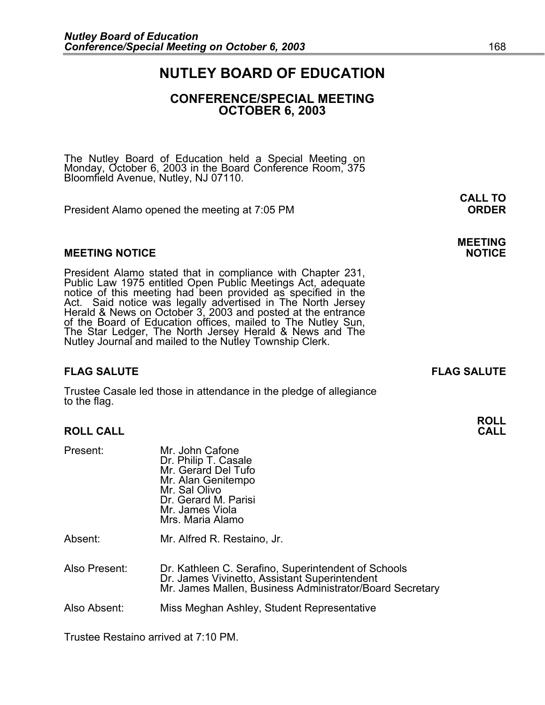## **NUTLEY BOARD OF EDUCATION**

## **CONFERENCE/SPECIAL MEETING OCTOBER 6, 2003**

The Nutley Board of Education held a Special Meeting on Monday, October 6, 2003 in the Board Conference Room, 375 Bloomfield Avenue, Nutley, NJ 07110.

President Alamo opened the meeting at 7:05 PM **ORDER**

#### **MEETING NOTICE NOTICE REPORTS AND ALCOHOL**

President Alamo stated that in compliance with Chapter 231,<br>Public Law 1975 entitled Open Public Meetings Act, adequate<br>notice of this meeting had been provided as specified in the<br>Act. Said notice was legally advertised i

### **FLAG SALUTE FLAG SALUTE**

Trustee Casale led those in attendance in the pledge of allegiance to the flag.

### **ROLL CALL**

| .             | טווטווט וווטט ווי<br>Dr. Philip T. Casale<br>Mr. Gerard Del Tufo<br>Mr. Alan Genitempo<br>Mr. Sal Olivo<br>Dr. Gerard M. Parisi<br>Mr. James Viola<br>Mrs. Maria Alamo |
|---------------|------------------------------------------------------------------------------------------------------------------------------------------------------------------------|
| Absent:       | Mr. Alfred R. Restaino, Jr.                                                                                                                                            |
| Also Present: | Dr. Kathleen C. Serafino, Superintendent of Schools<br>Dr. James Vivinetto, Assistant Superintendent<br>Mr. James Mallen, Business Administrator/Board Secretary       |
| Also Absent:  | Miss Meghan Ashley, Student Representative                                                                                                                             |

Trustee Restaino arrived at 7:10 PM.

Present: Mr. John Cafone

**ROLL** 

# **CALL TO**

**MEETING**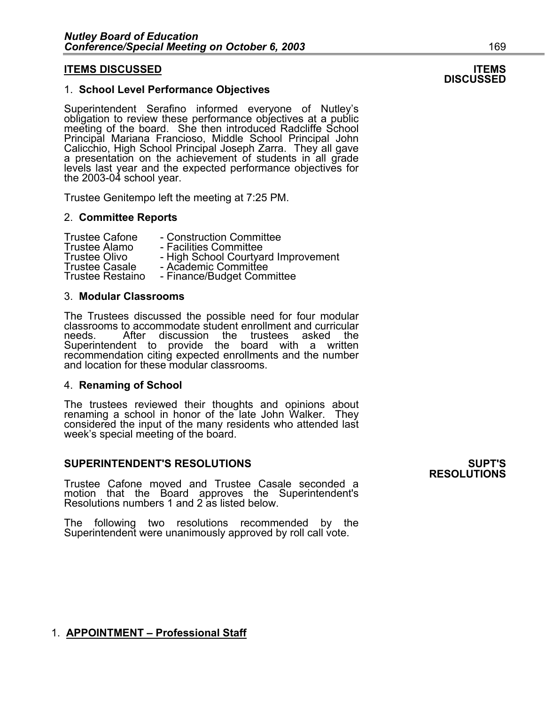#### 1. **School Level Performance Objectives**

Superintendent Serafino informed everyone of Nutley's obligation to review these performance objectives at a public meeting of the board. She then introduced Radcliffe School Principal Mariana Francioso, Middle School Principal John Calicchio, High School Principal Joseph Zarra. They all gave a presentation on the achievement of students in all grade levels last year and the expected performance objectives for the 2003-04 school year.

Trustee Genitempo left the meeting at 7:25 PM.

#### 2. **Committee Reports**

Trustee Cafone - Construction Committee<br>Trustee Alamo - Facilities Committee Trustee Alamo - Facilities Committee Trustee Olivo - High School Courtyard Improvement Trustee Casale - Academic Committee Trustee Restaino - Finance/Budget Committee

#### 3. **Modular Classrooms**

The Trustees discussed the possible need for four modular classrooms to accommodate student enrollment and curricular needs. After discussion the trustees asked the Superintendent to provide the board with a written recommendation citing expected enrollments and the number and location for these modular classrooms.

#### 4. **Renaming of School**

The trustees reviewed their thoughts and opinions about renaming a school in honor of the late John Walker. They considered the input of the many residents who attended last week's special meeting of the board.

#### **SUPERINTENDENT'S RESOLUTIONS SUPT'S**

Trustee Cafone moved and Trustee Casale seconded a motion that the Board approves the Superintendent's Resolutions numbers 1 and 2 as listed below.

The following two resolutions recommended by the Superintendent were unanimously approved by roll call vote.

### 1. **APPOINTMENT – Professional Staff**

# **RESOLUTIONS**

# **ITEMS DISCUSSED ITEMS DISCUSSED**